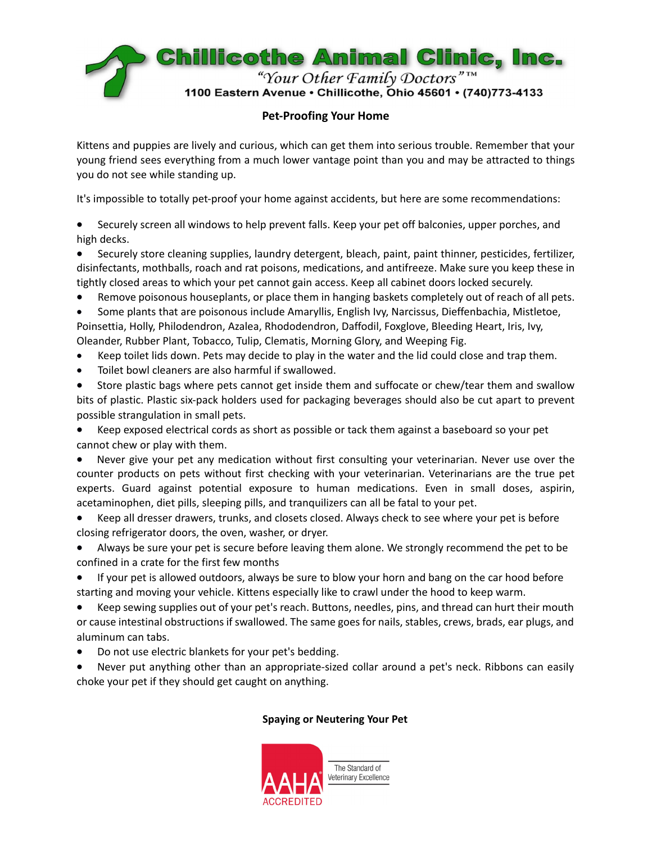

## **Pet‐Proofing Your Home**

Kittens and puppies are lively and curious, which can get them into serious trouble. Remember that your young friend sees everything from a much lower vantage point than you and may be attracted to things you do not see while standing up.

It's impossible to totally pet-proof your home against accidents, but here are some recommendations:

 Securely screen all windows to help prevent falls. Keep your pet off balconies, upper porches, and high decks.

 Securely store cleaning supplies, laundry detergent, bleach, paint, paint thinner, pesticides, fertilizer, disinfectants, mothballs, roach and rat poisons, medications, and antifreeze. Make sure you keep these in tightly closed areas to which your pet cannot gain access. Keep all cabinet doors locked securely.

Remove poisonous houseplants, or place them in hanging baskets completely out of reach of all pets.

 Some plants that are poisonous include Amaryllis, English Ivy, Narcissus, Dieffenbachia, Mistletoe, Poinsettia, Holly, Philodendron, Azalea, Rhododendron, Daffodil, Foxglove, Bleeding Heart, Iris, Ivy, Oleander, Rubber Plant, Tobacco, Tulip, Clematis, Morning Glory, and Weeping Fig.

- Keep toilet lids down. Pets may decide to play in the water and the lid could close and trap them.
- Toilet bowl cleaners are also harmful if swallowed.

 Store plastic bags where pets cannot get inside them and suffocate or chew/tear them and swallow bits of plastic. Plastic six‐pack holders used for packaging beverages should also be cut apart to prevent possible strangulation in small pets.

 Keep exposed electrical cords as short as possible or tack them against a baseboard so your pet cannot chew or play with them.

 Never give your pet any medication without first consulting your veterinarian. Never use over the counter products on pets without first checking with your veterinarian. Veterinarians are the true pet experts. Guard against potential exposure to human medications. Even in small doses, aspirin, acetaminophen, diet pills, sleeping pills, and tranquilizers can all be fatal to your pet.

 Keep all dresser drawers, trunks, and closets closed. Always check to see where your pet is before closing refrigerator doors, the oven, washer, or dryer.

 Always be sure your pet is secure before leaving them alone. We strongly recommend the pet to be confined in a crate for the first few months

 If your pet is allowed outdoors, always be sure to blow your horn and bang on the car hood before starting and moving your vehicle. Kittens especially like to crawl under the hood to keep warm.

 Keep sewing supplies out of your pet's reach. Buttons, needles, pins, and thread can hurt their mouth or cause intestinal obstructions if swallowed. The same goes for nails, stables, crews, brads, ear plugs, and aluminum can tabs.

Do not use electric blankets for your pet's bedding.

 Never put anything other than an appropriate‐sized collar around a pet's neck. Ribbons can easily choke your pet if they should get caught on anything.

## **Spaying or Neutering Your Pet**

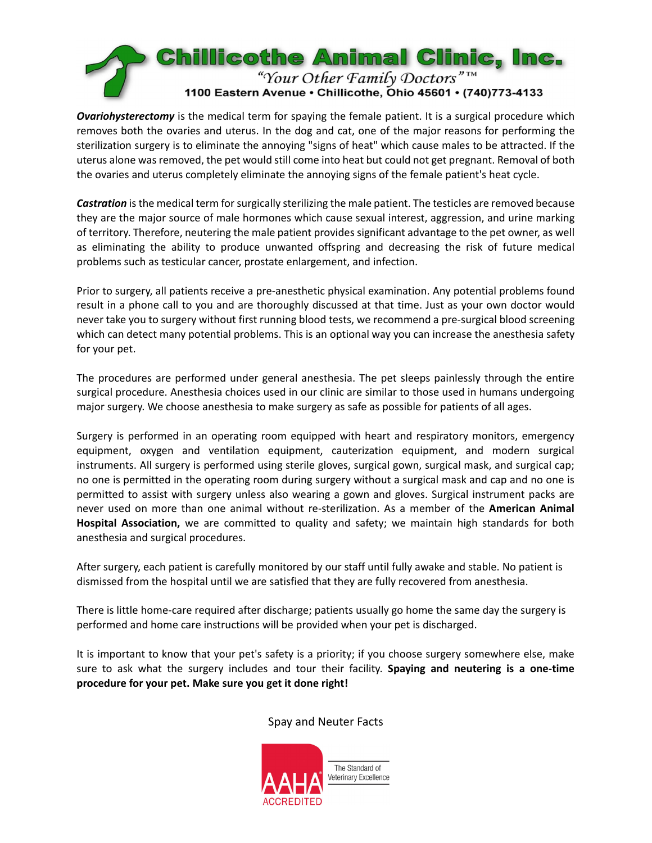

*Ovariohysterectomy* is the medical term for spaying the female patient. It is a surgical procedure which removes both the ovaries and uterus. In the dog and cat, one of the major reasons for performing the sterilization surgery is to eliminate the annoying "signs of heat" which cause males to be attracted. If the uterus alone was removed, the pet would still come into heat but could not get pregnant. Removal of both the ovaries and uterus completely eliminate the annoying signs of the female patient's heat cycle.

**Castration** is the medical term for surgically sterilizing the male patient. The testicles are removed because they are the major source of male hormones which cause sexual interest, aggression, and urine marking of territory. Therefore, neutering the male patient provides significant advantage to the pet owner, as well as eliminating the ability to produce unwanted offspring and decreasing the risk of future medical problems such as testicular cancer, prostate enlargement, and infection.

Prior to surgery, all patients receive a pre‐anesthetic physical examination. Any potential problems found result in a phone call to you and are thoroughly discussed at that time. Just as your own doctor would never take you to surgery without first running blood tests, we recommend a pre‐surgical blood screening which can detect many potential problems. This is an optional way you can increase the anesthesia safety for your pet.

The procedures are performed under general anesthesia. The pet sleeps painlessly through the entire surgical procedure. Anesthesia choices used in our clinic are similar to those used in humans undergoing major surgery. We choose anesthesia to make surgery as safe as possible for patients of all ages.

Surgery is performed in an operating room equipped with heart and respiratory monitors, emergency equipment, oxygen and ventilation equipment, cauterization equipment, and modern surgical instruments. All surgery is performed using sterile gloves, surgical gown, surgical mask, and surgical cap; no one is permitted in the operating room during surgery without a surgical mask and cap and no one is permitted to assist with surgery unless also wearing a gown and gloves. Surgical instrument packs are never used on more than one animal without re‐sterilization. As a member of the **American Animal Hospital Association,** we are committed to quality and safety; we maintain high standards for both anesthesia and surgical procedures.

After surgery, each patient is carefully monitored by our staff until fully awake and stable. No patient is dismissed from the hospital until we are satisfied that they are fully recovered from anesthesia.

There is little home-care required after discharge; patients usually go home the same day the surgery is performed and home care instructions will be provided when your pet is discharged.

It is important to know that your pet's safety is a priority; if you choose surgery somewhere else, make sure to ask what the surgery includes and tour their facility. **Spaying and neutering is a one‐time procedure for your pet. Make sure you get it done right!**

## Spay and Neuter Facts

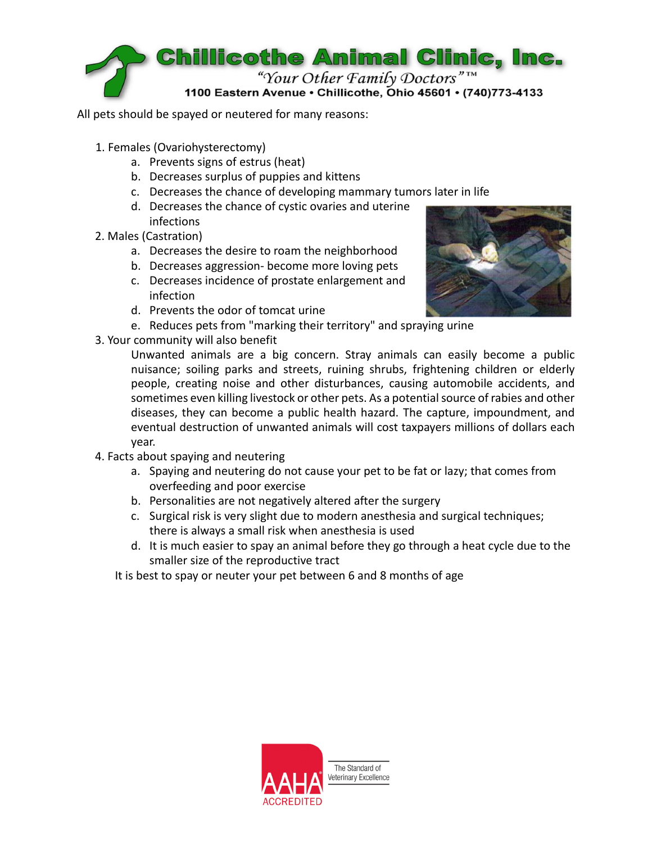

All pets should be spayed or neutered for many reasons:

- 1. Females (Ovariohysterectomy)
	- a. Prevents signs of estrus (heat)
	- b. Decreases surplus of puppies and kittens
	- c. Decreases the chance of developing mammary tumors later in life
	- d. Decreases the chance of cystic ovaries and uterine infections
- 2. Males (Castration)
	- a. Decreases the desire to roam the neighborhood
	- b. Decreases aggression‐ become more loving pets
	- c. Decreases incidence of prostate enlargement and infection
	- d. Prevents the odor of tomcat urine
	- e. Reduces pets from "marking their territory" and spraying urine
- 3. Your community will also benefit



Unwanted animals are a big concern. Stray animals can easily become a public nuisance; soiling parks and streets, ruining shrubs, frightening children or elderly people, creating noise and other disturbances, causing automobile accidents, and sometimes even killing livestock or other pets. As a potential source of rabies and other diseases, they can become a public health hazard. The capture, impoundment, and eventual destruction of unwanted animals will cost taxpayers millions of dollars each year.

- 4. Facts about spaying and neutering
	- a. Spaying and neutering do not cause your pet to be fat or lazy; that comes from overfeeding and poor exercise
	- b. Personalities are not negatively altered after the surgery
	- c. Surgical risk is very slight due to modern anesthesia and surgical techniques; there is always a small risk when anesthesia is used
	- d. It is much easier to spay an animal before they go through a heat cycle due to the smaller size of the reproductive tract

It is best to spay or neuter your pet between 6 and 8 months of age